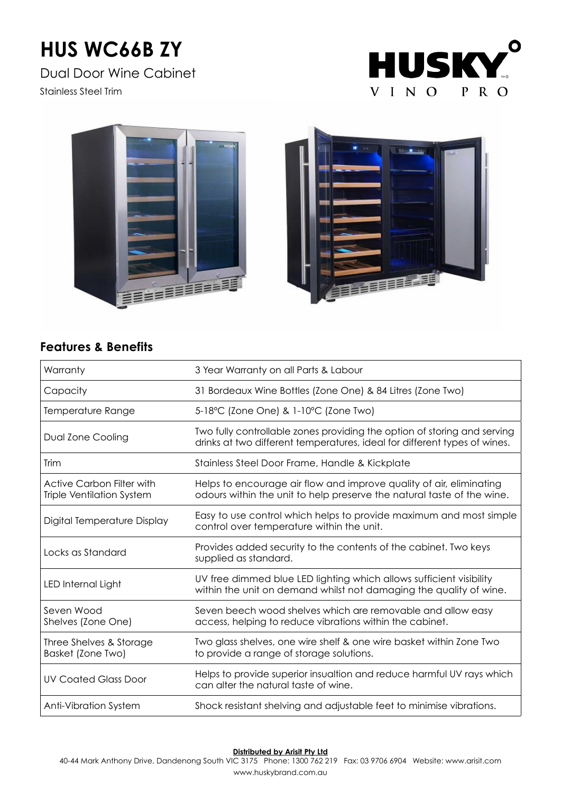# **HUS WC66B ZY**

Dual Door Wine Cabinet

Stainless Steel Trim







## **Features & Benefits**

| Warranty                                                             | 3 Year Warranty on all Parts & Labour                                                                                                                 |  |  |
|----------------------------------------------------------------------|-------------------------------------------------------------------------------------------------------------------------------------------------------|--|--|
| Capacity                                                             | 31 Bordeaux Wine Bottles (Zone One) & 84 Litres (Zone Two)                                                                                            |  |  |
| Temperature Range                                                    | 5-18°C (Zone One) & 1-10°C (Zone Two)                                                                                                                 |  |  |
| Dual Zone Cooling                                                    | Two fully controllable zones providing the option of storing and serving<br>drinks at two different temperatures, ideal for different types of wines. |  |  |
| Trim                                                                 | Stainless Steel Door Frame, Handle & Kickplate                                                                                                        |  |  |
| <b>Active Carbon Filter with</b><br><b>Triple Ventilation System</b> | Helps to encourage air flow and improve quality of air, eliminating<br>odours within the unit to help preserve the natural taste of the wine.         |  |  |
| Digital Temperature Display                                          | Easy to use control which helps to provide maximum and most simple<br>control over temperature within the unit.                                       |  |  |
| Locks as Standard                                                    | Provides added security to the contents of the cabinet. Two keys<br>supplied as standard.                                                             |  |  |
| LED Internal Light                                                   | UV free dimmed blue LED lighting which allows sufficient visibility<br>within the unit on demand whilst not damaging the quality of wine.             |  |  |
| Seven Wood<br>Shelves (Zone One)                                     | Seven beech wood shelves which are removable and allow easy<br>access, helping to reduce vibrations within the cabinet.                               |  |  |
| Three Shelves & Storage<br>Basket (Zone Two)                         | Two glass shelves, one wire shelf & one wire basket within Zone Two<br>to provide a range of storage solutions.                                       |  |  |
| <b>UV Coated Glass Door</b>                                          | Helps to provide superior insualtion and reduce harmful UV rays which<br>can alter the natural taste of wine.                                         |  |  |
| <b>Anti-Vibration System</b>                                         | Shock resistant shelving and adjustable feet to minimise vibrations.                                                                                  |  |  |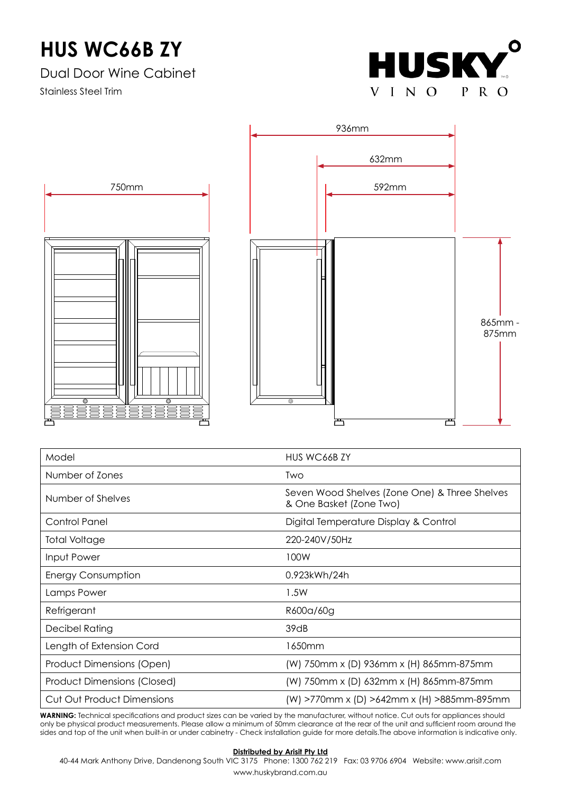## **HUS WC66B ZY**

Dual Door Wine Cabinet

Stainless Steel Trim





| Model                             | HUS WC66B ZY                                                             |  |
|-----------------------------------|--------------------------------------------------------------------------|--|
| Number of Zones                   | <b>Two</b>                                                               |  |
| Number of Shelves                 | Seven Wood Shelves (Zone One) & Three Shelves<br>& One Basket (Zone Two) |  |
| <b>Control Panel</b>              | Digital Temperature Display & Control                                    |  |
| <b>Total Voltage</b>              | 220-240V/50Hz                                                            |  |
| Input Power                       | 100W                                                                     |  |
| <b>Energy Consumption</b>         | 0.923kWh/24h                                                             |  |
| Lamps Power                       | 1.5W                                                                     |  |
| Refrigerant                       | R600a/60g                                                                |  |
| Decibel Rating                    | 39dB                                                                     |  |
| Length of Extension Cord          | 1650mm                                                                   |  |
| Product Dimensions (Open)         | (W) 750mm x (D) 936mm x (H) 865mm-875mm                                  |  |
| Product Dimensions (Closed)       | (W) 750mm x (D) 632mm x (H) 865mm-875mm                                  |  |
| <b>Cut Out Product Dimensions</b> | (W) >770mm x (D) >642mm x (H) >885mm-895mm                               |  |

**WARNING:** Technical specifications and product sizes can be varied by the manufacturer, without notice. Cut outs for appliances should only be physical product measurements. Please allow a minimum of 50mm clearance at the rear of the unit and sufficient room around the sides and top of the unit when built-in or under cabinetry - Check installation guide for more details.The above information is indicative only.

### **Distributed by Arisit Pty Ltd**

40-44 Mark Anthony Drive, Dandenong South VIC 3175 Phone: 1300 762 219 Fax: 03 9706 6904 Website: www.arisit.com